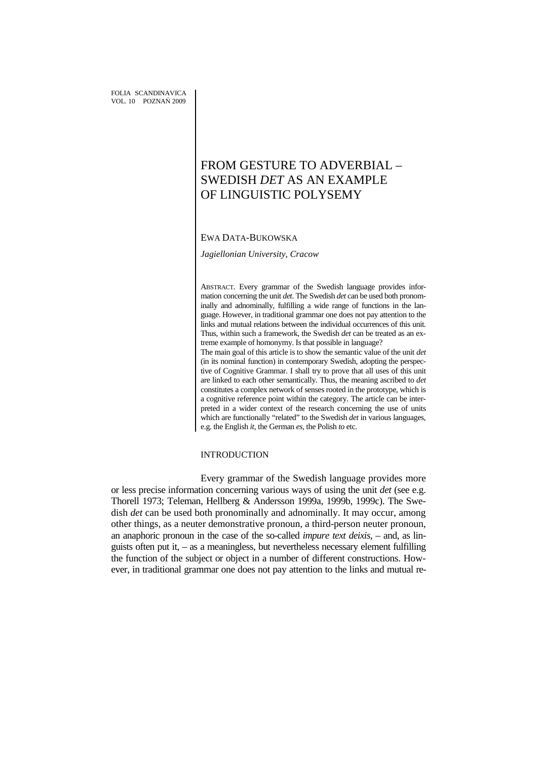# FROM GESTURE TO ADVERBIAL – SWEDISH *DET* AS AN EXAMPLE OF LINGUISTIC POLYSEMY

# EWA DATA-BUKOWSKA

*Jagiellonian University, Cracow* 

ABSTRACT. Every grammar of the Swedish language provides information concerning the unit *det*. The Swedish *det* can be used both pronominally and adnominally, fulfilling a wide range of functions in the language. However, in traditional grammar one does not pay attention to the links and mutual relations between the individual occurrences of this unit. Thus, within such a framework, the Swedish *det* can be treated as an extreme example of homonymy. Is that possible in language? The main goal of this article is to show the semantic value of the unit *det* (in its nominal function) in contemporary Swedish, adopting the perspective of Cognitive Grammar. I shall try to prove that all uses of this unit are linked to each other semantically. Thus, the meaning ascribed to *det*  constitutes a complex network of senses rooted in the prototype, which is a cognitive reference point within the category. The article can be interpreted in a wider context of the research concerning the use of units which are functionally "related" to the Swedish *det* in various languages, e.g. the English *it,* the German *es,* the Polish *to* etc.

# INTRODUCTION

Every grammar of the Swedish language provides more or less precise information concerning various ways of using the unit *det* (see e.g. Thorell 1973; Teleman, Hellberg & Andersson 1999a, 1999b, 1999c). The Swedish *det* can be used both pronominally and adnominally. It may occur, among other things, as a neuter demonstrative pronoun, a third-person neuter pronoun, an anaphoric pronoun in the case of the so-called *impure text deixis*, – and, as linguists often put it, – as a meaningless, but nevertheless necessary element fulfilling the function of the subject or object in a number of different constructions. However, in traditional grammar one does not pay attention to the links and mutual re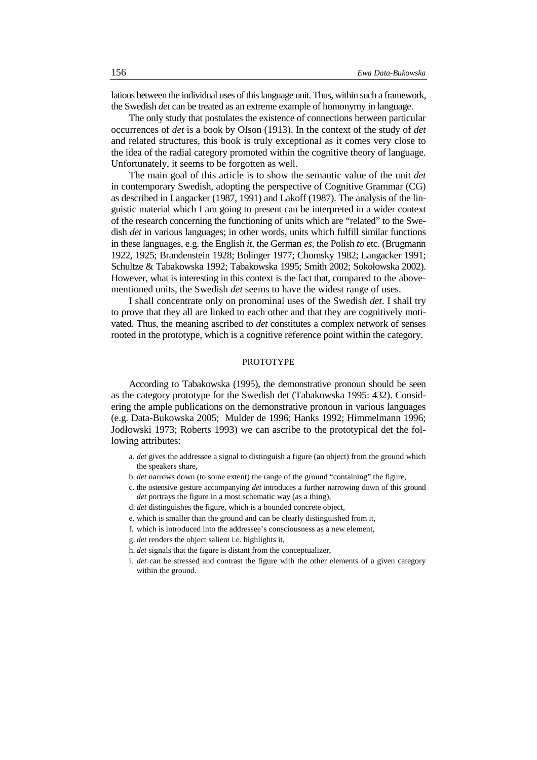lations between the individual uses of this language unit. Thus, within such a framework, the Swedish *det* can be treated as an extreme example of homonymy in language.

The only study that postulates the existence of connections between particular occurrences of *det* is a book by Olson (1913). In the context of the study of *det* and related structures, this book is truly exceptional as it comes very close to the idea of the radial category promoted within the cognitive theory of language. Unfortunately, it seems to be forgotten as well.

The main goal of this article is to show the semantic value of the unit *det* in contemporary Swedish, adopting the perspective of Cognitive Grammar (CG) as described in Langacker (1987, 1991) and Lakoff (1987). The analysis of the linguistic material which I am going to present can be interpreted in a wider context of the research concerning the functioning of units which are "related" to the Swedish *det* in various languages; in other words, units which fulfill similar functions in these languages, e.g. the English *it,* the German *es,* the Polish *to* etc. (Brugmann 1922, 1925; Brandenstein 1928; Bolinger 1977; Chomsky 1982; Langacker 1991; Schultze & Tabakowska 1992; Tabakowska 1995; Smith 2002; Sokołowska 2002). However, what is interesting in this context is the fact that, compared to the abovementioned units, the Swedish *det* seems to have the widest range of uses.

I shall concentrate only on pronominal uses of the Swedish *det*. I shall try to prove that they all are linked to each other and that they are cognitively motivated. Thus, the meaning ascribed to *det* constitutes a complex network of senses rooted in the prototype, which is a cognitive reference point within the category.

## PROTOTYPE

According to Tabakowska (1995), the demonstrative pronoun should be seen as the category prototype for the Swedish det (Tabakowska 1995: 432). Considering the ample publications on the demonstrative pronoun in various languages (e.g. Data-Bukowska 2005; Mulder de 1996; Hanks 1992; Himmelmann 1996; Jodłowski 1973; Roberts 1993) we can ascribe to the prototypical det the following attributes:

- a. *det* gives the addressee a signal to distinguish a figure (an object) from the ground which the speakers share,
- b. *det* narrows down (to some extent) the range of the ground "containing" the figure,
- c. the ostensive gesture accompanying *det* introduces a further narrowing down of this ground *det* portrays the figure in a most schematic way (as a thing),
- d. *det* distinguishes the figure, which is a bounded concrete object,
- e. which is smaller than the ground and can be clearly distinguished from it,
- f. which is introduced into the addressee's consciousness as a new element,
- g. *det* renders the object salient i.e. highlights it,
- h. *det* signals that the figure is distant from the conceptualizer,
- i. *det* can be stressed and contrast the figure with the other elements of a given category within the ground.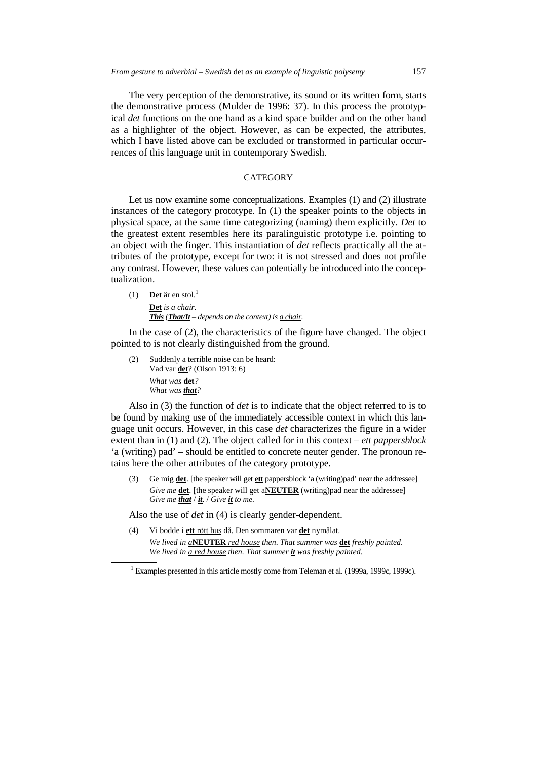The very perception of the demonstrative, its sound or its written form, starts the demonstrative process (Mulder de 1996: 37). In this process the prototypical *det* functions on the one hand as a kind space builder and on the other hand as a highlighter of the object. However, as can be expected, the attributes, which I have listed above can be excluded or transformed in particular occurrences of this language unit in contemporary Swedish.

# **CATEGORY**

Let us now examine some conceptualizations. Examples (1) and (2) illustrate instances of the category prototype*.* In (1) the speaker points to the objects in physical space, at the same time categorizing (naming) them explicitly. *Det* to the greatest extent resembles here its paralinguistic prototype i.e. pointing to an object with the finger. This instantiation of *det* reflects practically all the attributes of the prototype, except for two: it is not stressed and does not profile any contrast. However, these values can potentially be introduced into the conceptualization.

(1) **Det** är en stol. 1 **Det** *is a chair. This (That/It – depends on the context) is a chair.* 

In the case of (2), the characteristics of the figure have changed. The object pointed to is not clearly distinguished from the ground.

(2) Suddenly a terrible noise can be heard: Vad var **det**? (Olson 1913: 6)  *What was* **det***? What was that?* 

Also in (3) the function of *det* is to indicate that the object referred to is to be found by making use of the immediately accessible context in which this language unit occurs. However, in this case *det* characterizes the figure in a wider extent than in (1) and (2). The object called for in this context – *ett pappersblock* 'a (writing) pad' – should be entitled to concrete neuter gender. The pronoun retains here the other attributes of the category prototype.

(3) Ge mig **det**. [the speaker will get **ett** pappersblock 'a (writing)pad' near the addressee] *Give me* **det**. [the speaker will get a**NEUTER** (writing)pad near the addressee] *Give me that* / *it*. / *Give it to me.*

Also the use of *det* in (4) is clearly gender-dependent.

(4) Vi bodde i **ett** rött hus då. Den sommaren var **det** nymålat. *We lived in a***NEUTER** *red house then*. *That summer was* **det** *freshly painted*. *We lived in a red house then. That summer it was freshly painted.*

<sup>&</sup>lt;sup>1</sup> Examples presented in this article mostly come from Teleman et al. (1999a, 1999c, 1999c).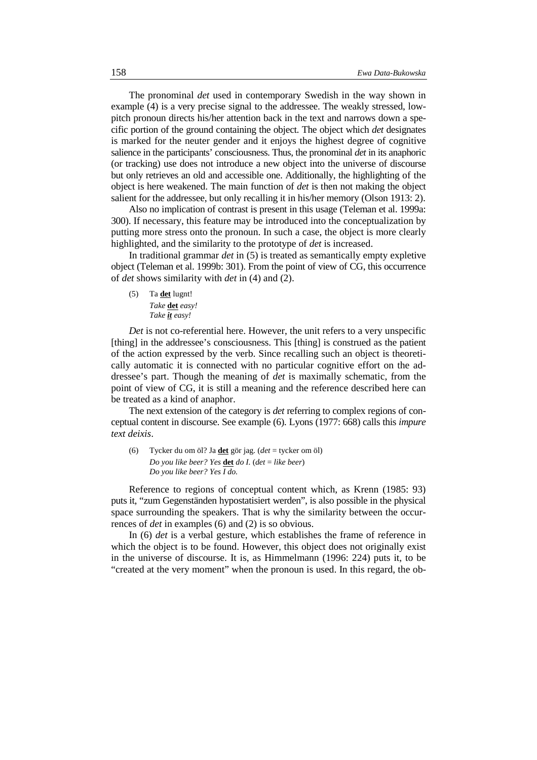The pronominal *det* used in contemporary Swedish in the way shown in example (4) is a very precise signal to the addressee. The weakly stressed, lowpitch pronoun directs his/her attention back in the text and narrows down a specific portion of the ground containing the object. The object which *det* designates is marked for the neuter gender and it enjoys the highest degree of cognitive salience in the participants' consciousness. Thus, the pronominal *det* in its anaphoric (or tracking) use does not introduce a new object into the universe of discourse but only retrieves an old and accessible one. Additionally, the highlighting of the object is here weakened. The main function of *det* is then not making the object salient for the addressee, but only recalling it in his/her memory (Olson 1913: 2).

Also no implication of contrast is present in this usage (Teleman et al. 1999a: 300). If necessary, this feature may be introduced into the conceptualization by putting more stress onto the pronoun. In such a case, the object is more clearly highlighted, and the similarity to the prototype of *det* is increased.

In traditional grammar *det* in (5) is treated as semantically empty expletive object (Teleman et al. 1999b: 301). From the point of view of CG, this occurrence of *det* shows similarity with *det* in (4) and (2).

(5) Ta **det** lugnt! *Take* **det** *easy! Take it easy!* 

*Det* is not co-referential here. However, the unit refers to a very unspecific [thing] in the addressee's consciousness. This [thing] is construed as the patient of the action expressed by the verb. Since recalling such an object is theoretically automatic it is connected with no particular cognitive effort on the addressee's part. Though the meaning of *det* is maximally schematic, from the point of view of CG, it is still a meaning and the reference described here can be treated as a kind of anaphor.

The next extension of the category is *det* referring to complex regions of conceptual content in discourse. See example (6). Lyons (1977: 668) calls this *impure text deixis*.

(6) Tycker du om öl? Ja **det** gör jag. (*det* = tycker om öl) *Do you like beer? Yes* **det** *do I.* (*det* = *like beer*) *Do you like beer? Yes I do.* 

Reference to regions of conceptual content which, as Krenn (1985: 93) puts it, "zum Gegenständen hypostatisiert werden", is also possible in the physical space surrounding the speakers. That is why the similarity between the occurrences of *det* in examples (6) and (2) is so obvious.

In (6) *det* is a verbal gesture, which establishes the frame of reference in which the object is to be found. However, this object does not originally exist in the universe of discourse. It is, as Himmelmann (1996: 224) puts it, to be "created at the very moment" when the pronoun is used. In this regard, the ob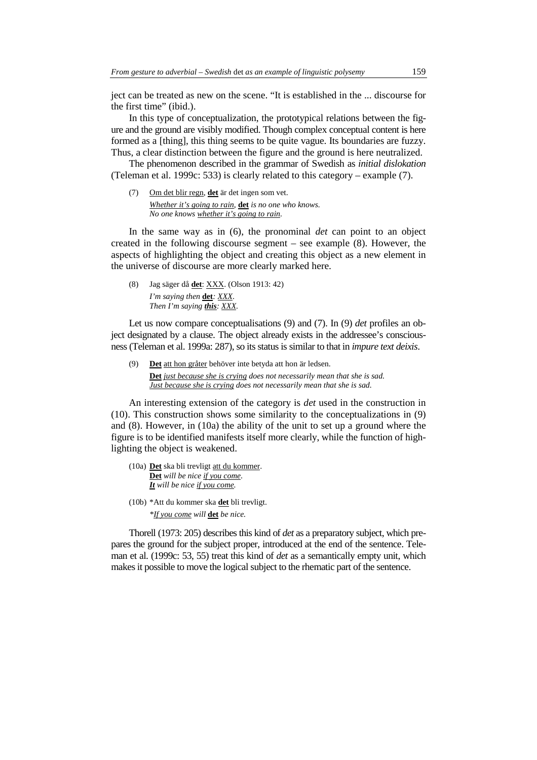ject can be treated as new on the scene. "It is established in the ... discourse for the first time" (ibid.).

In this type of conceptualization, the prototypical relations between the figure and the ground are visibly modified. Though complex conceptual content is here formed as a [thing], this thing seems to be quite vague. Its boundaries are fuzzy. Thus, a clear distinction between the figure and the ground is here neutralized.

The phenomenon described in the grammar of Swedish as *initial dislokation* (Teleman et al. 1999c: 533) is clearly related to this category – example (7).

(7) Om det blir regn, **det** är det ingen som vet.  *Whether it's going to rain,* **det** *is no one who knows. No one knows whether it's going to rain.* 

In the same way as in (6), the pronominal *det* can point to an object created in the following discourse segment – see example (8). However, the aspects of highlighting the object and creating this object as a new element in the universe of discourse are more clearly marked here.

(8) Jag säger då **det**: XXX. (Olson 1913: 42) *I'm saying then* **det***: XXX*. *Then I'm saying this: XXX.*

Let us now compare conceptualisations (9) and (7). In (9) *det* profiles an object designated by a clause. The object already exists in the addressee's consciousness (Teleman et al. 1999a: 287), so its status is similar to that in *impure text deixis*.

(9) **Det** att hon gråter behöver inte betyda att hon är ledsen. **Det** *just because she is crying does not necessarily mean that she is sad. Just because she is crying does not necessarily mean that she is sad.*

An interesting extension of the category is *det* used in the construction in (10). This construction shows some similarity to the conceptualizations in (9) and (8). However, in (10a) the ability of the unit to set up a ground where the figure is to be identified manifests itself more clearly, while the function of highlighting the object is weakened.

- (10a) **Det** ska bli trevligt att du kommer. **Det** *will be nice if you come*. *It will be nice if you come.*
- (10b) \*Att du kommer ska **det** bli trevligt.

*\*If you come will* **det** *be nice.*

Thorell (1973: 205) describes this kind of *det* as a preparatory subject, which prepares the ground for the subject proper, introduced at the end of the sentence. Teleman et al. (1999c: 53, 55) treat this kind of *det* as a semantically empty unit, which makes it possible to move the logical subject to the rhematic part of the sentence.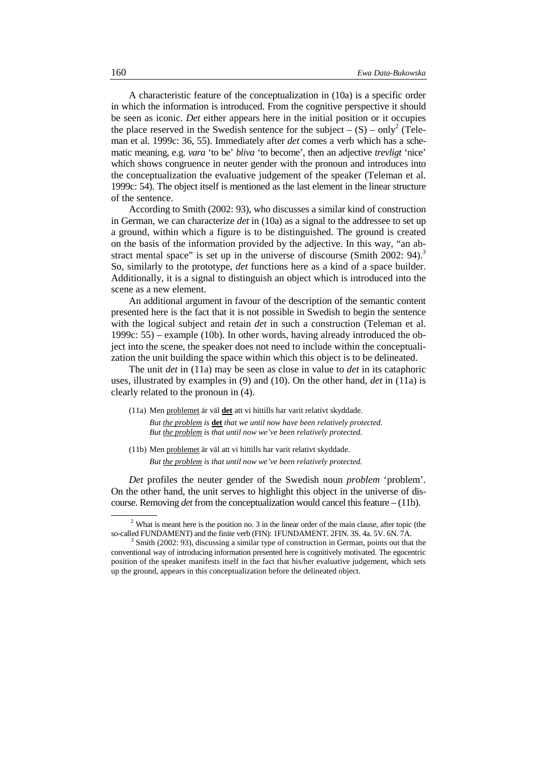A characteristic feature of the conceptualization in (10a) is a specific order in which the information is introduced. From the cognitive perspective it should be seen as iconic. *Det* either appears here in the initial position or it occupies the place reserved in the Swedish sentence for the subject  $- (S) - only^2$  (Teleman et al. 1999c: 36, 55). Immediately after *det* comes a verb which has a schematic meaning, e.g. *vara* 'to be' *bliva* 'to become', then an adjective *trevligt* 'nice' which shows congruence in neuter gender with the pronoun and introduces into the conceptualization the evaluative judgement of the speaker (Teleman et al. 1999c: 54). The object itself is mentioned as the last element in the linear structure of the sentence.

According to Smith (2002: 93), who discusses a similar kind of construction in German, we can characterize *det* in (10a) as a signal to the addressee to set up a ground, within which a figure is to be distinguished. The ground is created on the basis of the information provided by the adjective. In this way, "an abstract mental space" is set up in the universe of discourse (Smith 2002:  $94$ ).<sup>3</sup> So, similarly to the prototype, *det* functions here as a kind of a space builder. Additionally, it is a signal to distinguish an object which is introduced into the scene as a new element.

An additional argument in favour of the description of the semantic content presented here is the fact that it is not possible in Swedish to begin the sentence with the logical subject and retain *det* in such a construction (Teleman et al. 1999c: 55) – example (10b). In other words, having already introduced the object into the scene, the speaker does not need to include within the conceptualization the unit building the space within which this object is to be delineated.

The unit *det* in (11a) may be seen as close in value to *det* in its cataphoric uses, illustrated by examples in (9) and (10). On the other hand, *det* in (11a) is clearly related to the pronoun in (4).

- (11a) Men problemet är väl **det** att vi hittills har varit relativt skyddade. *But the problem is* **det** *that we until now have been relatively protected. But the problem is that until now we've been relatively protected.*
- (11b) Men problemet är väl att vi hittills har varit relativt skyddade. *But the problem is that until now we've been relatively protected.*

*Det* profiles the neuter gender of the Swedish noun *problem* 'problem'. On the other hand, the unit serves to highlight this object in the universe of discourse. Removing *det* from the conceptualization would cancel this feature – (11b).

 $2$  What is meant here is the position no. 3 in the linear order of the main clause, after topic (the so-called FUNDAMENT) and the finite verb (FIN): 1FUNDAMENT. 2FIN. 3S. 4a. 5V. 6N. 7A.

 $3$  Smith (2002: 93), discussing a similar type of construction in German, points out that the conventional way of introducing information presented here is cognitively motivated. The egocentric position of the speaker manifests itself in the fact that his/her evaluative judgement, which sets up the ground, appears in this conceptualization before the delineated object.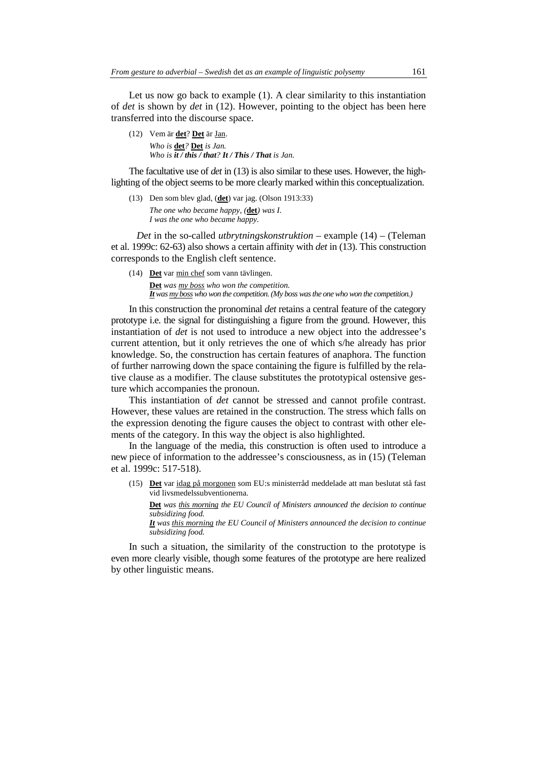Let us now go back to example (1). A clear similarity to this instantiation of *det* is shown by *det* in (12). However, pointing to the object has been here transferred into the discourse space.

(12) Vem är **det**? **Det** är Jan. *Who is* **det***?* **Det** *is Jan. Who is it / this / that? It / This / That is Jan.* 

The facultative use of *det* in (13) is also similar to these uses. However, the highlighting of the object seems to be more clearly marked within this conceptualization.

(13) Den som blev glad, (**det**) var jag. (Olson 1913:33) *The one who became happy, (***det***) was I*. *I was the one who became happy.*

*Det* in the so-called *utbrytningskonstruktion* – example (14) – (Teleman et al. 1999c: 62-63) also shows a certain affinity with *det* in (13). This construction corresponds to the English cleft sentence.

(14) **Det** var min chef som vann tävlingen. **Det** *was my boss who won the competition. It was my boss who won the competition. (My boss was the one who won the competition.)*

In this construction the pronominal *det* retains a central feature of the category prototype i.e. the signal for distinguishing a figure from the ground. However, this instantiation of *det* is not used to introduce a new object into the addressee's current attention, but it only retrieves the one of which s/he already has prior knowledge. So, the construction has certain features of anaphora. The function of further narrowing down the space containing the figure is fulfilled by the relative clause as a modifier. The clause substitutes the prototypical ostensive gesture which accompanies the pronoun.

This instantiation of *det* cannot be stressed and cannot profile contrast. However, these values are retained in the construction. The stress which falls on the expression denoting the figure causes the object to contrast with other elements of the category. In this way the object is also highlighted.

In the language of the media, this construction is often used to introduce a new piece of information to the addressee's consciousness, as in (15) (Teleman et al. 1999c: 517-518).

(15) **Det** var idag på morgonen som EU:s ministerråd meddelade att man beslutat stå fast vid livsmedelssubventionerna.

**Det** *was this morning the EU Council of Ministers announced the decision to continue subsidizing food.*

*It was this morning the EU Council of Ministers announced the decision to continue subsidizing food.* 

In such a situation, the similarity of the construction to the prototype is even more clearly visible, though some features of the prototype are here realized by other linguistic means.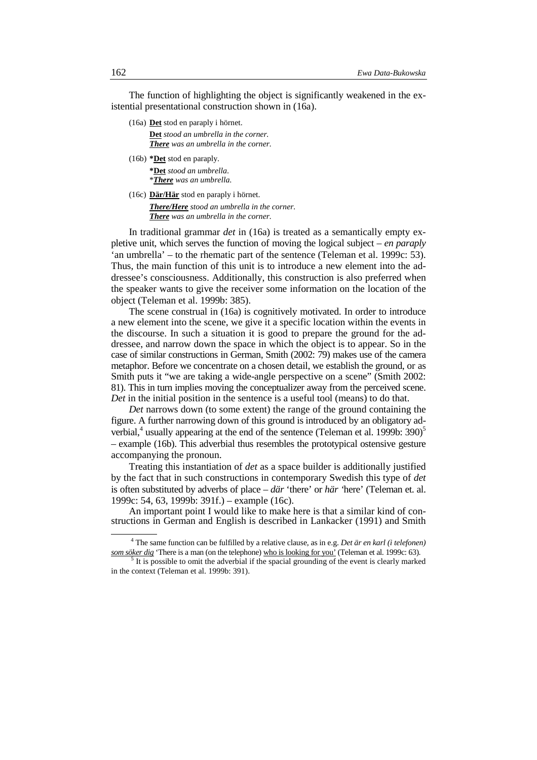The function of highlighting the object is significantly weakened in the existential presentational construction shown in (16a).

(16a) **Det** stod en paraply i hörnet.

**Det** *stood an umbrella in the corner. There was an umbrella in the corner.* 

(16b) **\*Det** stod en paraply. **\*Det** *stood an umbrella*. \**There was an umbrella*.

(16c) **Där/Här** stod en paraply i hörnet.

*There/Here stood an umbrella in the corner. There was an umbrella in the corner.* 

In traditional grammar *det* in (16a) is treated as a semantically empty expletive unit, which serves the function of moving the logical subject – *en paraply*  'an umbrella' – to the rhematic part of the sentence (Teleman et al. 1999c: 53). Thus, the main function of this unit is to introduce a new element into the addressee's consciousness. Additionally, this construction is also preferred when the speaker wants to give the receiver some information on the location of the object (Teleman et al. 1999b: 385).

The scene construal in (16a) is cognitively motivated. In order to introduce a new element into the scene, we give it a specific location within the events in the discourse. In such a situation it is good to prepare the ground for the addressee, and narrow down the space in which the object is to appear. So in the case of similar constructions in German, Smith (2002: 79) makes use of the camera metaphor. Before we concentrate on a chosen detail, we establish the ground, or as Smith puts it "we are taking a wide-angle perspective on a scene" (Smith 2002: 81). This in turn implies moving the conceptualizer away from the perceived scene. *Det* in the initial position in the sentence is a useful tool (means) to do that.

*Det* narrows down (to some extent) the range of the ground containing the figure. A further narrowing down of this ground is introduced by an obligatory adverbial, $4$  usually appearing at the end of the sentence (Teleman et al. 1999b: 390)<sup>5</sup> – example (16b). This adverbial thus resembles the prototypical ostensive gesture accompanying the pronoun.

Treating this instantiation of *det* as a space builder is additionally justified by the fact that in such constructions in contemporary Swedish this type of *det* is often substituted by adverbs of place – *där* 'there' or *här '*here' (Teleman et. al. 1999c: 54, 63, 1999b: 391f.) – example (16c).

An important point I would like to make here is that a similar kind of constructions in German and English is described in Lankacker (1991) and Smith

<sup>4</sup> The same function can be fulfilled by a relative clause, as in e.g. *Det är en karl (i telefonen) som söker dig* 'There is a man (on the telephone) who is looking for you' (Teleman et al. 1999c: 63).

 $<sup>5</sup>$  It is possible to omit the adverbial if the spacial grounding of the event is clearly marked</sup> in the context (Teleman et al. 1999b: 391).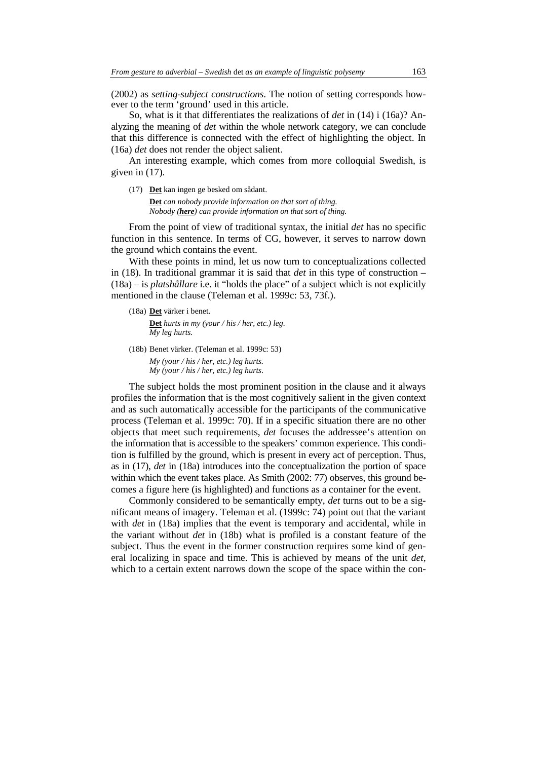(2002) as *setting*-*subject constructions*. The notion of setting corresponds however to the term 'ground' used in this article.

So, what is it that differentiates the realizations of *det* in (14) i (16a)? Analyzing the meaning of *det* within the whole network category, we can conclude that this difference is connected with the effect of highlighting the object. In (16a) *det* does not render the object salient.

An interesting example, which comes from more colloquial Swedish, is given in (17).

(17) **Det** kan ingen ge besked om sådant. **Det** *can nobody provide information on that sort of thing. Nobody (here) can provide information on that sort of thing.*

From the point of view of traditional syntax, the initial *det* has no specific function in this sentence. In terms of CG, however, it serves to narrow down the ground which contains the event.

With these points in mind, let us now turn to conceptualizations collected in (18). In traditional grammar it is said that *det* in this type of construction – (18a) – is *platshållare* i.e. it "holds the place" of a subject which is not explicitly mentioned in the clause (Teleman et al. 1999c: 53, 73f.).

(18a) **Det** värker i benet.

 **Det** *hurts in my (your / his / her, etc.) leg. My leg hurts.* 

(18b) Benet värker. (Teleman et al. 1999c: 53) *My (your / his / her, etc.) leg hurts. My (your / his / her, etc.) leg hurts*.

The subject holds the most prominent position in the clause and it always profiles the information that is the most cognitively salient in the given context and as such automatically accessible for the participants of the communicative process (Teleman et al. 1999c: 70). If in a specific situation there are no other objects that meet such requirements, *det* focuses the addressee's attention on the information that is accessible to the speakers' common experience. This condition is fulfilled by the ground, which is present in every act of perception. Thus, as in (17), *det* in (18a) introduces into the conceptualization the portion of space within which the event takes place. As Smith (2002: 77) observes, this ground becomes a figure here (is highlighted) and functions as a container for the event.

Commonly considered to be semantically empty, *det* turns out to be a significant means of imagery. Teleman et al. (1999c: 74) point out that the variant with *det* in (18a) implies that the event is temporary and accidental, while in the variant without *det* in (18b) what is profiled is a constant feature of the subject. Thus the event in the former construction requires some kind of general localizing in space and time. This is achieved by means of the unit *det,* which to a certain extent narrows down the scope of the space within the con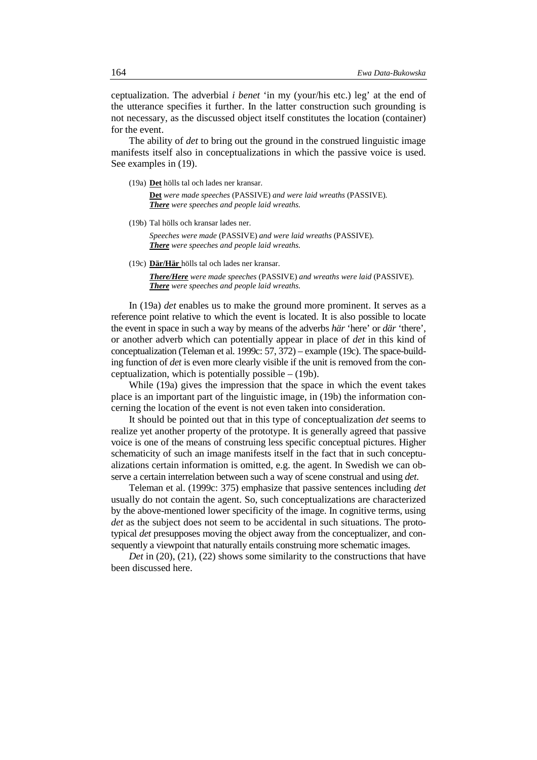ceptualization. The adverbial *i benet* 'in my (your/his etc.) leg' at the end of the utterance specifies it further. In the latter construction such grounding is not necessary, as the discussed object itself constitutes the location (container) for the event.

The ability of *det* to bring out the ground in the construed linguistic image manifests itself also in conceptualizations in which the passive voice is used. See examples in (19).

(19a) **Det** hölls tal och lades ner kransar.

**Det** *were made speeches* (PASSIVE) *and were laid wreaths* (PASSIVE)*. There were speeches and people laid wreaths.* 

(19b) Tal hölls och kransar lades ner.

 *Speeches were made* (PASSIVE) *and were laid wreaths* (PASSIVE)*. There were speeches and people laid wreaths.*

(19c) **Där/Här** hölls tal och lades ner kransar.

*There/Here were made speeches* (PASSIVE) *and wreaths were laid* (PASSIVE). *There were speeches and people laid wreaths.* 

In (19a) *det* enables us to make the ground more prominent. It serves as a reference point relative to which the event is located. It is also possible to locate the event in space in such a way by means of the adverbs *här* 'here' or *där* 'there', or another adverb which can potentially appear in place of *det* in this kind of conceptualization (Teleman et al. 1999c: 57, 372) – example (19c). The space-building function of *det* is even more clearly visible if the unit is removed from the conceptualization, which is potentially possible  $- (19b)$ .

While (19a) gives the impression that the space in which the event takes place is an important part of the linguistic image, in (19b) the information concerning the location of the event is not even taken into consideration.

It should be pointed out that in this type of conceptualization *det* seems to realize yet another property of the prototype. It is generally agreed that passive voice is one of the means of construing less specific conceptual pictures. Higher schematicity of such an image manifests itself in the fact that in such conceptualizations certain information is omitted, e.g. the agent. In Swedish we can observe a certain interrelation between such a way of scene construal and using *det*.

Teleman et al. (1999c: 375) emphasize that passive sentences including *det* usually do not contain the agent. So, such conceptualizations are characterized by the above-mentioned lower specificity of the image. In cognitive terms, using *det* as the subject does not seem to be accidental in such situations. The prototypical *det* presupposes moving the object away from the conceptualizer, and consequently a viewpoint that naturally entails construing more schematic images.

*Det* in (20), (21), (22) shows some similarity to the constructions that have been discussed here.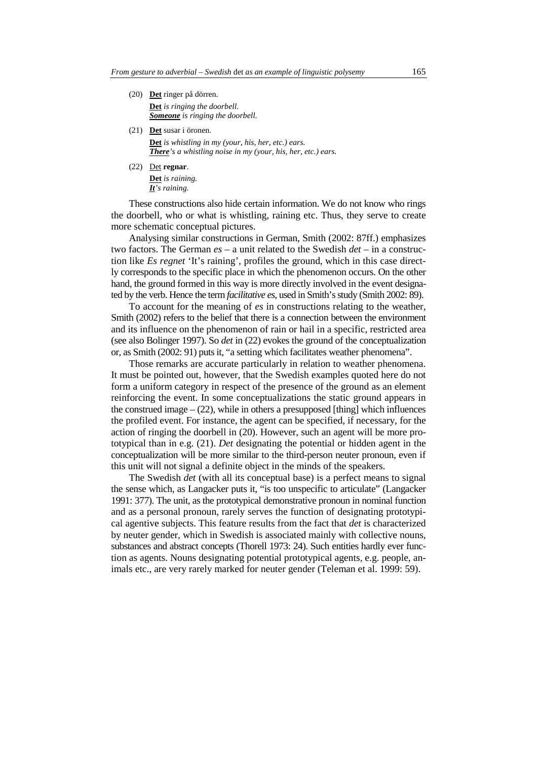- (20) **Det** ringer på dörren. **Det** *is ringing the doorbell. Someone is ringing the doorbell.*
- (21) **Det** susar i öronen. **Det** *is whistling in my (your, his, her, etc.) ears. There's a whistling noise in my (your, his, her, etc.) ears.*
- (22) Det **regnar**. **Det** *is raining. It's raining.*

These constructions also hide certain information. We do not know who rings the doorbell, who or what is whistling, raining etc. Thus, they serve to create more schematic conceptual pictures.

Analysing similar constructions in German, Smith (2002: 87ff.) emphasizes two factors. The German *es* – a unit related to the Swedish *det* – in a construction like *Es regnet* 'It's raining', profiles the ground, which in this case directly corresponds to the specific place in which the phenomenon occurs. On the other hand, the ground formed in this way is more directly involved in the event designated by the verb. Hence the term *facilitative es*, used in Smith's study (Smith 2002: 89).

To account for the meaning of *es* in constructions relating to the weather, Smith (2002) refers to the belief that there is a connection between the environment and its influence on the phenomenon of rain or hail in a specific, restricted area (see also Bolinger 1997). So *det* in (22) evokes the ground of the conceptualization or, as Smith (2002: 91) puts it, "a setting which facilitates weather phenomena".

Those remarks are accurate particularly in relation to weather phenomena. It must be pointed out, however, that the Swedish examples quoted here do not form a uniform category in respect of the presence of the ground as an element reinforcing the event. In some conceptualizations the static ground appears in the construed image  $-$  (22), while in others a presupposed [thing] which influences the profiled event. For instance, the agent can be specified, if necessary, for the action of ringing the doorbell in (20). However, such an agent will be more prototypical than in e.g. (21). *Det* designating the potential or hidden agent in the conceptualization will be more similar to the third-person neuter pronoun, even if this unit will not signal a definite object in the minds of the speakers.

The Swedish *det* (with all its conceptual base) is a perfect means to signal the sense which, as Langacker puts it, "is too unspecific to articulate" (Langacker 1991: 377). The unit, as the prototypical demonstrative pronoun in nominal function and as a personal pronoun, rarely serves the function of designating prototypical agentive subjects. This feature results from the fact that *det* is characterized by neuter gender, which in Swedish is associated mainly with collective nouns, substances and abstract concepts (Thorell 1973: 24). Such entities hardly ever function as agents. Nouns designating potential prototypical agents, e.g. people, animals etc., are very rarely marked for neuter gender (Teleman et al. 1999: 59).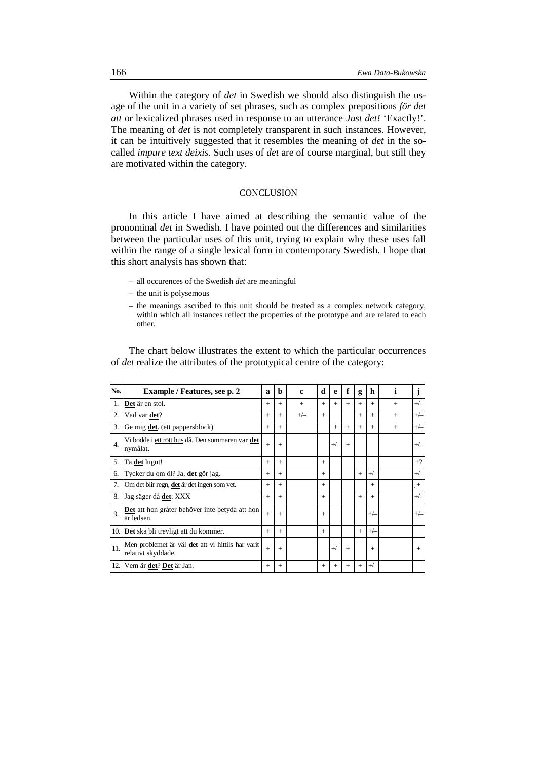Within the category of *det* in Swedish we should also distinguish the usage of the unit in a variety of set phrases, such as complex prepositions *för det att* or lexicalized phrases used in response to an utterance *Just det!* 'Exactly!'. The meaning of *det* is not completely transparent in such instances. However, it can be intuitively suggested that it resembles the meaning of *det* in the socalled *impure text deixis*. Such uses of *det* are of course marginal, but still they are motivated within the category.

# **CONCLUSION**

In this article I have aimed at describing the semantic value of the pronominal *det* in Swedish. I have pointed out the differences and similarities between the particular uses of this unit, trying to explain why these uses fall within the range of a single lexical form in contemporary Swedish. I hope that this short analysis has shown that:

- all occurences of the Swedish *det* are meaningful
- the unit is polysemous
- the meanings ascribed to this unit should be treated as a complex network category, within which all instances reflect the properties of the prototype and are related to each other.

The chart below illustrates the extent to which the particular occurrences of *det* realize the attributes of the prototypical centre of the category:

| No.              | Example / Features, see p. 2                                            | a      | $\mathbf b$ | c     | d      | e      | f      | g   | h      | i   | J           |
|------------------|-------------------------------------------------------------------------|--------|-------------|-------|--------|--------|--------|-----|--------|-----|-------------|
| 1.               | Det är en stol.                                                         | $+$    | $+$         | $+$   | $^{+}$ | $+$    | $+$    | $+$ | $+$    | $+$ | $+/-$       |
| 2.               | Vad var det?                                                            | $+$    | $+$         | $+/-$ | $+$    |        |        | $+$ | $+$    | $+$ | $+/-$       |
| 3.               | Ge mig <b>det</b> . (ett pappersblock)                                  | $+$    | $+$         |       |        | $+$    | $+$    | $+$ | $+$    | $+$ | $+/-$       |
| $\overline{4}$ . | Vi bodde i ett rött hus då. Den sommaren var det<br>nymålat.            | $+$    | $+$         |       |        | $+/-$  | $+$    |     |        |     | $+\sqrt{-}$ |
| 5.               | Ta det lugnt!                                                           | $+$    | $+$         |       | $+$    |        |        |     |        |     | $+?$        |
| 6.               | Tycker du om öl? Ja, det gör jag.                                       | $^{+}$ | $+$         |       | $+$    |        |        | $+$ | $+/-$  |     | $+/-$       |
| 7.               | Om det blir regn, det är det ingen som vet.                             | $+$    | $+$         |       | $+$    |        |        |     | $+$    |     | $+$         |
| 8.               | Jag säger då <b>det</b> : XXX                                           | $+$    | $+$         |       | $+$    |        |        | $+$ | $+$    |     | $+/-$       |
| 9.               | Det att hon gråter behöver inte betyda att hon<br>är ledsen.            | $+$    | $+$         |       | $^{+}$ |        |        |     | $+/-$  |     | $+/-$       |
| 10.1             | <b>Det</b> ska bli trevligt att du kommer.                              | $+$    | $+$         |       | $+$    |        |        | $+$ | $+/-$  |     |             |
| 11.              | Men problemet är väl det att vi hittils har varit<br>relativt skyddade. | $+$    | $+$         |       |        | $+/-$  | $+$    |     | $^{+}$ |     | $+$         |
| 12.              | Vem är det? Det är Jan.                                                 | $^{+}$ | $+$         |       | $^{+}$ | $^{+}$ | $^{+}$ | $+$ | $+/-$  |     |             |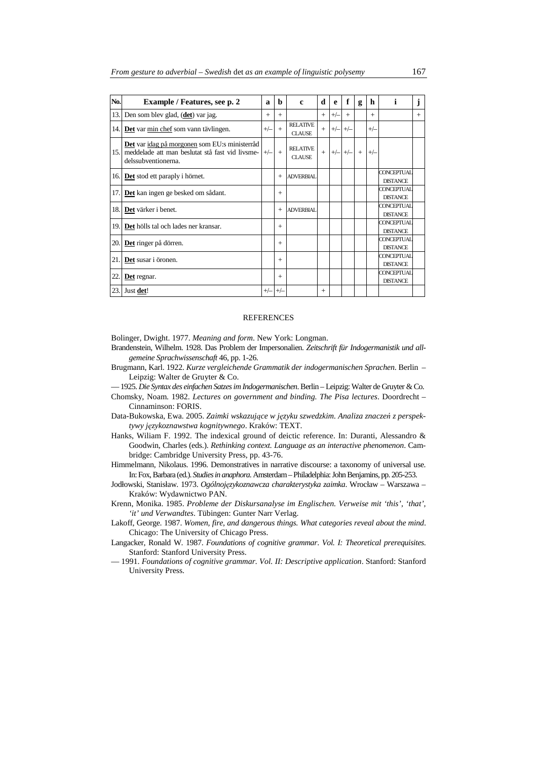| No. | <b>Example</b> / Features, see p. 2                                                                                     | a     | b      | c                                | d      | e     | f     | g   | h      | i.                                   | J   |
|-----|-------------------------------------------------------------------------------------------------------------------------|-------|--------|----------------------------------|--------|-------|-------|-----|--------|--------------------------------------|-----|
| 13. | Den som blev glad, (det) var jag.                                                                                       | $+$   | $+$    |                                  | $+$    | $+/-$ | $+$   |     | $^{+}$ |                                      | $+$ |
|     | 14. Det var min chef som vann tävlingen.                                                                                | $+/-$ | $+$    | <b>RELATIVE</b><br><b>CLAUSE</b> | $+$    | $+/-$ | $+/-$ |     | $+/-$  |                                      |     |
| 15. | Det var idag på morgonen som EU:s ministerråd<br>meddelade att man beslutat stå fast vid livsme-<br>delssubventionerna. | $+/-$ | $+$    | <b>RELATIVE</b><br><b>CLAUSE</b> | $+$    | $+/-$ | $+/-$ | $+$ | $+/-$  |                                      |     |
| 16. | Det stod ett paraply i hörnet.                                                                                          |       | $+$    | <b>ADVERBIAL</b>                 |        |       |       |     |        | <b>CONCEPTUAL</b><br><b>DISTANCE</b> |     |
| 17. | Det kan ingen ge besked om sådant.                                                                                      |       | $+$    |                                  |        |       |       |     |        | <b>CONCEPTUAL</b><br><b>DISTANCE</b> |     |
| 18. | Det värker i benet.                                                                                                     |       | $^{+}$ | <b>ADVERBIAL</b>                 |        |       |       |     |        | <b>CONCEPTUAL</b><br><b>DISTANCE</b> |     |
| 19. | Det hölls tal och lades ner kransar.                                                                                    |       | $+$    |                                  |        |       |       |     |        | <b>CONCEPTUAL</b><br><b>DISTANCE</b> |     |
| 20. | Det ringer på dörren.                                                                                                   |       | $+$    |                                  |        |       |       |     |        | <b>CONCEPTUAL</b><br><b>DISTANCE</b> |     |
| 21. | Det susar i öronen.                                                                                                     |       | $+$    |                                  |        |       |       |     |        | <b>CONCEPTUAL</b><br><b>DISTANCE</b> |     |
| 22. | Det regnar.                                                                                                             |       | $+$    |                                  |        |       |       |     |        | CONCEPTUAL<br><b>DISTANCE</b>        |     |
| 23. | Just det!                                                                                                               | $+/-$ | $+/-$  |                                  | $^{+}$ |       |       |     |        |                                      |     |

#### **REFERENCES**

Bolinger, Dwight. 1977. *Meaning and form*. New York: Longman.

- Brandenstein, Wilhelm. 1928. Das Problem der Impersonalien. *Zeitschrift für Indogermanistik und allgemeine Sprachwissenschaft* 46, pp. 1-26.
- Brugmann, Karl. 1922. *Kurze vergleichende Grammatik der indogermanischen Sprachen*. Berlin Leipzig: Walter de Gruyter & Co.

— 1925. *Die Syntax des einfachen Satzes im Indogermanischen*. Berlin – Leipzig: Walter de Gruyter & Co.

- Chomsky, Noam. 1982. *Lectures on government and binding. The Pisa lectures*. Doordrecht Cinnaminson: FORIS.
- Data-Bukowska, Ewa. 2005. *Zaimki wskazujące w języku szwedzkim. Analiza znaczeń z perspektywy językoznawstwa kognitywnego*. Kraków: TEXT.
- Hanks, Wiliam F. 1992. The indexical ground of deictic reference. In: Duranti, Alessandro & Goodwin, Charles (eds.). *Rethinking context. Language as an interactive phenomenon*. Cambridge: Cambridge University Press, pp. 43-76.
- Himmelmann, Nikolaus. 1996. Demonstratives in narrative discourse: a taxonomy of universal use. In: Fox, Barbara (ed.). *Studies in anaphora*. Amsterdam – Philadelphia: John Benjamins, pp. 205-253.
- Jodłowski, Stanisław. 1973. *Ogólnojęzykoznawcza charakterystyka zaimka*. Wrocław Warszawa Kraków: Wydawnictwo PAN.
- Krenn, Monika. 1985. *Probleme der Diskursanalyse im Englischen. Verweise mit 'this', 'that', 'it' und Verwandtes*. Tübingen: Gunter Narr Verlag.
- Lakoff, George. 1987. *Women, fire, and dangerous things. What categories reveal about the mind*. Chicago: The University of Chicago Press.
- Langacker, Ronald W. 1987. *Foundations of cognitive grammar*. *Vol. I: Theoretical prerequisites*. Stanford: Stanford University Press.
- 1991. *Foundations of cognitive grammar. Vol. II: Descriptive application*. Stanford: Stanford University Press.